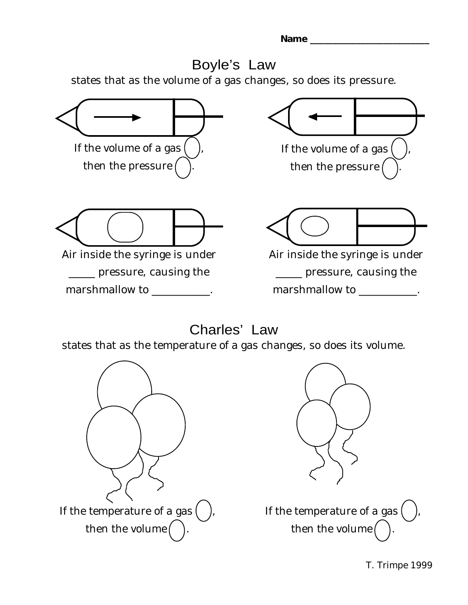**Name** 

## Boyle's Law

states that as the volume of a gas changes, so does its pressure.



Charles' Law

states that as the temperature of a gas changes, so does its volume.





T. Trimpe 1999